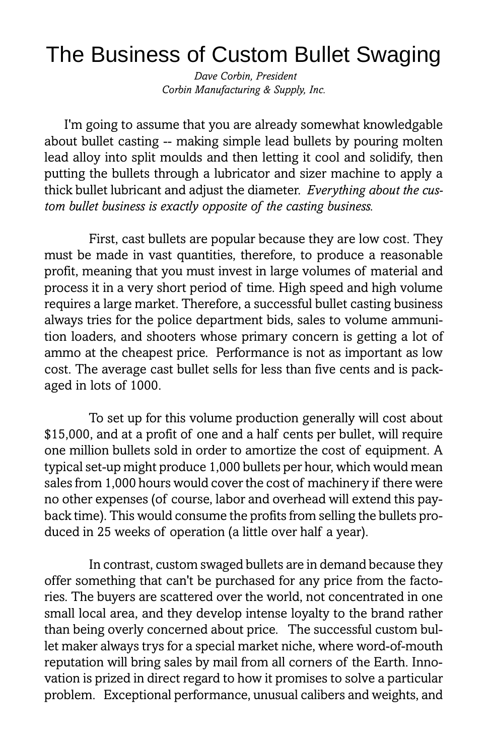## The Business of Custom Bullet Swaging

 Dave Corbin, President Corbin Manufacturing & Supply, Inc.

I'm going to assume that you are already somewhat knowledgable about bullet casting -- making simple lead bullets by pouring molten lead alloy into split moulds and then letting it cool and solidify, then putting the bullets through a lubricator and sizer machine to apply a thick bullet lubricant and adjust the diameter. Everything about the custom bullet business is exactly opposite of the casting business.

First, cast bullets are popular because they are low cost. They must be made in vast quantities, therefore, to produce a reasonable profit, meaning that you must invest in large volumes of material and process it in a very short period of time. High speed and high volume requires a large market. Therefore, a successful bullet casting business always tries for the police department bids, sales to volume ammunition loaders, and shooters whose primary concern is getting a lot of ammo at the cheapest price. Performance is not as important as low cost. The average cast bullet sells for less than five cents and is packaged in lots of 1000.

To set up for this volume production generally will cost about \$15,000, and at a profit of one and a half cents per bullet, will require one million bullets sold in order to amortize the cost of equipment. A typical set-up might produce 1,000 bullets per hour, which would mean sales from 1,000 hours would cover the cost of machinery if there were no other expenses (of course, labor and overhead will extend this payback time). This would consume the profits from selling the bullets produced in 25 weeks of operation (a little over half a year).

In contrast, custom swaged bullets are in demand because they offer something that can't be purchased for any price from the factories. The buyers are scattered over the world, not concentrated in one small local area, and they develop intense loyalty to the brand rather than being overly concerned about price. The successful custom bullet maker always trys for a special market niche, where word-of-mouth reputation will bring sales by mail from all corners of the Earth. Innovation is prized in direct regard to how it promises to solve a particular problem. Exceptional performance, unusual calibers and weights, and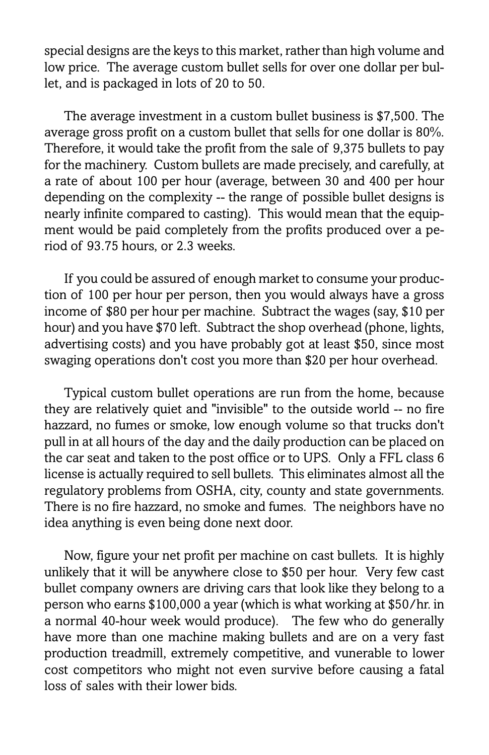special designs are the keys to this market, rather than high volume and low price. The average custom bullet sells for over one dollar per bullet, and is packaged in lots of 20 to 50.

The average investment in a custom bullet business is \$7,500. The average gross profit on a custom bullet that sells for one dollar is 80%. Therefore, it would take the profit from the sale of 9,375 bullets to pay for the machinery. Custom bullets are made precisely, and carefully, at a rate of about 100 per hour (average, between 30 and 400 per hour depending on the complexity -- the range of possible bullet designs is nearly infinite compared to casting). This would mean that the equipment would be paid completely from the profits produced over a period of 93.75 hours, or 2.3 weeks.

If you could be assured of enough market to consume your production of 100 per hour per person, then you would always have a gross income of \$80 per hour per machine. Subtract the wages (say, \$10 per hour) and you have \$70 left. Subtract the shop overhead (phone, lights, advertising costs) and you have probably got at least \$50, since most swaging operations don't cost you more than \$20 per hour overhead.

Typical custom bullet operations are run from the home, because they are relatively quiet and "invisible" to the outside world -- no fire hazzard, no fumes or smoke, low enough volume so that trucks don't pull in at all hours of the day and the daily production can be placed on the car seat and taken to the post office or to UPS. Only a FFL class 6 license is actually required to sell bullets. This eliminates almost all the regulatory problems from OSHA, city, county and state governments. There is no fire hazzard, no smoke and fumes. The neighbors have no idea anything is even being done next door.

Now, figure your net profit per machine on cast bullets. It is highly unlikely that it will be anywhere close to \$50 per hour. Very few cast bullet company owners are driving cars that look like they belong to a person who earns \$100,000 a year (which is what working at \$50/hr. in a normal 40-hour week would produce). The few who do generally have more than one machine making bullets and are on a very fast production treadmill, extremely competitive, and vunerable to lower cost competitors who might not even survive before causing a fatal loss of sales with their lower bids.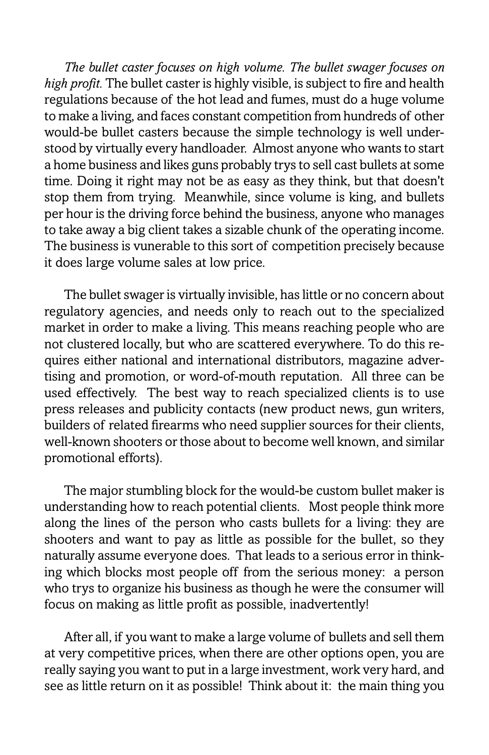The bullet caster focuses on high volume. The bullet swager focuses on high profit. The bullet caster is highly visible, is subject to fire and health regulations because of the hot lead and fumes, must do a huge volume to make a living, and faces constant competition from hundreds of other would-be bullet casters because the simple technology is well understood by virtually every handloader. Almost anyone who wants to start a home business and likes guns probably trys to sell cast bullets at some time. Doing it right may not be as easy as they think, but that doesn't stop them from trying. Meanwhile, since volume is king, and bullets per hour is the driving force behind the business, anyone who manages to take away a big client takes a sizable chunk of the operating income. The business is vunerable to this sort of competition precisely because it does large volume sales at low price.

The bullet swager is virtually invisible, has little or no concern about regulatory agencies, and needs only to reach out to the specialized market in order to make a living. This means reaching people who are not clustered locally, but who are scattered everywhere. To do this requires either national and international distributors, magazine advertising and promotion, or word-of-mouth reputation. All three can be used effectively. The best way to reach specialized clients is to use press releases and publicity contacts (new product news, gun writers, builders of related firearms who need supplier sources for their clients, well-known shooters or those about to become well known, and similar promotional efforts).

The major stumbling block for the would-be custom bullet maker is understanding how to reach potential clients. Most people think more along the lines of the person who casts bullets for a living: they are shooters and want to pay as little as possible for the bullet, so they naturally assume everyone does. That leads to a serious error in thinking which blocks most people off from the serious money: a person who trys to organize his business as though he were the consumer will focus on making as little profit as possible, inadvertently!

After all, if you want to make a large volume of bullets and sell them at very competitive prices, when there are other options open, you are really saying you want to put in a large investment, work very hard, and see as little return on it as possible! Think about it: the main thing you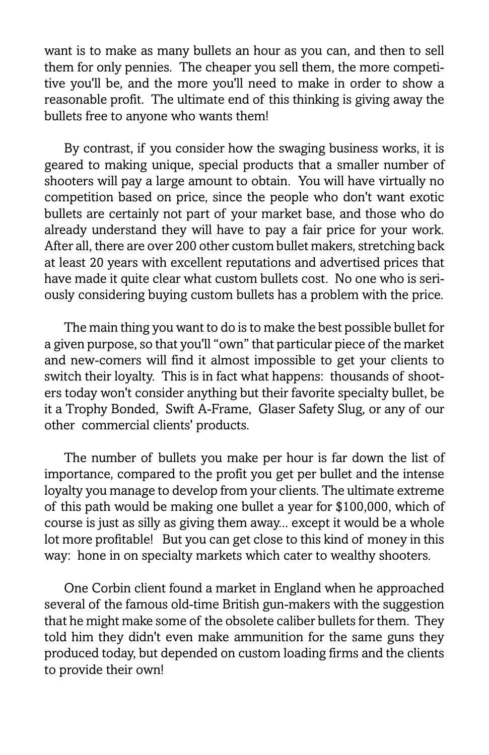want is to make as many bullets an hour as you can, and then to sell them for only pennies. The cheaper you sell them, the more competitive you'll be, and the more you'll need to make in order to show a reasonable profit. The ultimate end of this thinking is giving away the bullets free to anyone who wants them!

By contrast, if you consider how the swaging business works, it is geared to making unique, special products that a smaller number of shooters will pay a large amount to obtain. You will have virtually no competition based on price, since the people who don't want exotic bullets are certainly not part of your market base, and those who do already understand they will have to pay a fair price for your work. After all, there are over 200 other custom bullet makers, stretching back at least 20 years with excellent reputations and advertised prices that have made it quite clear what custom bullets cost. No one who is seriously considering buying custom bullets has a problem with the price.

The main thing you want to do is to make the best possible bullet for a given purpose, so that you'll "own" that particular piece of the market and new-comers will find it almost impossible to get your clients to switch their loyalty. This is in fact what happens: thousands of shooters today won't consider anything but their favorite specialty bullet, be it a Trophy Bonded, Swift A-Frame, Glaser Safety Slug, or any of our other commercial clients' products.

The number of bullets you make per hour is far down the list of importance, compared to the profit you get per bullet and the intense loyalty you manage to develop from your clients. The ultimate extreme of this path would be making one bullet a year for \$100,000, which of course is just as silly as giving them away... except it would be a whole lot more profitable! But you can get close to this kind of money in this way: hone in on specialty markets which cater to wealthy shooters.

One Corbin client found a market in England when he approached several of the famous old-time British gun-makers with the suggestion that he might make some of the obsolete caliber bullets for them. They told him they didn't even make ammunition for the same guns they produced today, but depended on custom loading firms and the clients to provide their own!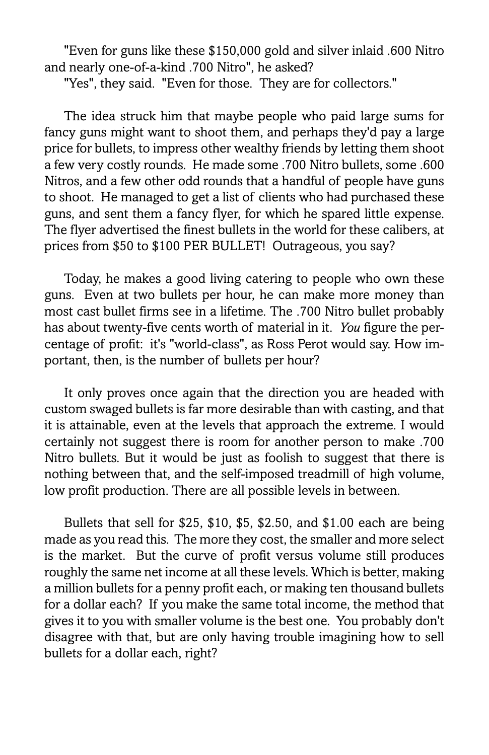"Even for guns like these \$150,000 gold and silver inlaid .600 Nitro and nearly one-of-a-kind .700 Nitro", he asked?

"Yes", they said. "Even for those. They are for collectors."

The idea struck him that maybe people who paid large sums for fancy guns might want to shoot them, and perhaps they'd pay a large price for bullets, to impress other wealthy friends by letting them shoot a few very costly rounds. He made some .700 Nitro bullets, some .600 Nitros, and a few other odd rounds that a handful of people have guns to shoot. He managed to get a list of clients who had purchased these guns, and sent them a fancy flyer, for which he spared little expense. The flyer advertised the finest bullets in the world for these calibers, at prices from \$50 to \$100 PER BULLET! Outrageous, you say?

Today, he makes a good living catering to people who own these guns. Even at two bullets per hour, he can make more money than most cast bullet firms see in a lifetime. The .700 Nitro bullet probably has about twenty-five cents worth of material in it. You figure the percentage of profit: it's "world-class", as Ross Perot would say. How important, then, is the number of bullets per hour?

It only proves once again that the direction you are headed with custom swaged bullets is far more desirable than with casting, and that it is attainable, even at the levels that approach the extreme. I would certainly not suggest there is room for another person to make .700 Nitro bullets. But it would be just as foolish to suggest that there is nothing between that, and the self-imposed treadmill of high volume, low profit production. There are all possible levels in between.

Bullets that sell for \$25, \$10, \$5, \$2.50, and \$1.00 each are being made as you read this. The more they cost, the smaller and more select is the market. But the curve of profit versus volume still produces roughly the same net income at all these levels. Which is better, making a million bullets for a penny profit each, or making ten thousand bullets for a dollar each? If you make the same total income, the method that gives it to you with smaller volume is the best one. You probably don't disagree with that, but are only having trouble imagining how to sell bullets for a dollar each, right?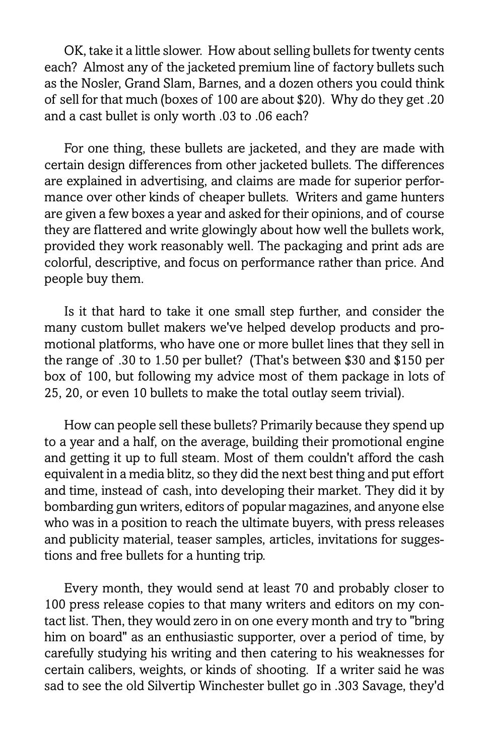OK, take it a little slower. How about selling bullets for twenty cents each? Almost any of the jacketed premium line of factory bullets such as the Nosler, Grand Slam, Barnes, and a dozen others you could think of sell for that much (boxes of 100 are about \$20). Why do they get .20 and a cast bullet is only worth .03 to .06 each?

For one thing, these bullets are jacketed, and they are made with certain design differences from other jacketed bullets. The differences are explained in advertising, and claims are made for superior performance over other kinds of cheaper bullets. Writers and game hunters are given a few boxes a year and asked for their opinions, and of course they are flattered and write glowingly about how well the bullets work, provided they work reasonably well. The packaging and print ads are colorful, descriptive, and focus on performance rather than price. And people buy them.

Is it that hard to take it one small step further, and consider the many custom bullet makers we've helped develop products and promotional platforms, who have one or more bullet lines that they sell in the range of .30 to 1.50 per bullet? (That's between \$30 and \$150 per box of 100, but following my advice most of them package in lots of 25, 20, or even 10 bullets to make the total outlay seem trivial).

How can people sell these bullets? Primarily because they spend up to a year and a half, on the average, building their promotional engine and getting it up to full steam. Most of them couldn't afford the cash equivalent in a media blitz, so they did the next best thing and put effort and time, instead of cash, into developing their market. They did it by bombarding gun writers, editors of popular magazines, and anyone else who was in a position to reach the ultimate buyers, with press releases and publicity material, teaser samples, articles, invitations for suggestions and free bullets for a hunting trip.

Every month, they would send at least 70 and probably closer to 100 press release copies to that many writers and editors on my contact list. Then, they would zero in on one every month and try to "bring him on board" as an enthusiastic supporter, over a period of time, by carefully studying his writing and then catering to his weaknesses for certain calibers, weights, or kinds of shooting. If a writer said he was sad to see the old Silvertip Winchester bullet go in .303 Savage, they'd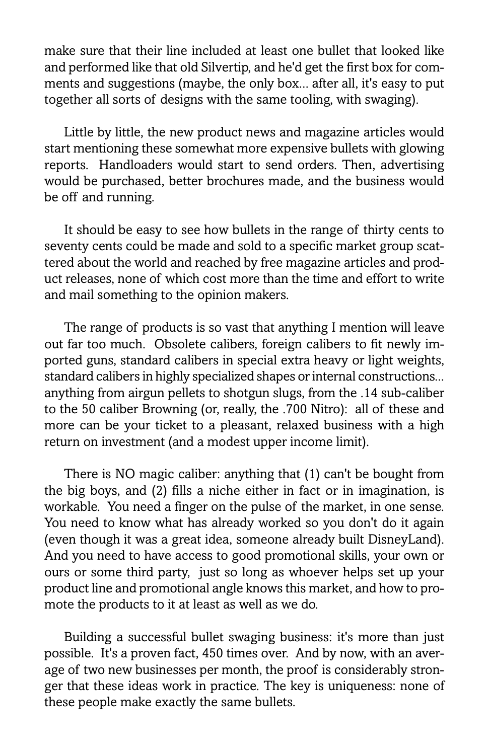make sure that their line included at least one bullet that looked like and performed like that old Silvertip, and he'd get the first box for comments and suggestions (maybe, the only box... after all, it's easy to put together all sorts of designs with the same tooling, with swaging).

Little by little, the new product news and magazine articles would start mentioning these somewhat more expensive bullets with glowing reports. Handloaders would start to send orders. Then, advertising would be purchased, better brochures made, and the business would be off and running.

It should be easy to see how bullets in the range of thirty cents to seventy cents could be made and sold to a specific market group scattered about the world and reached by free magazine articles and product releases, none of which cost more than the time and effort to write and mail something to the opinion makers.

The range of products is so vast that anything I mention will leave out far too much. Obsolete calibers, foreign calibers to fit newly imported guns, standard calibers in special extra heavy or light weights, standard calibers in highly specialized shapes or internal constructions... anything from airgun pellets to shotgun slugs, from the .14 sub-caliber to the 50 caliber Browning (or, really, the .700 Nitro): all of these and more can be your ticket to a pleasant, relaxed business with a high return on investment (and a modest upper income limit).

There is NO magic caliber: anything that (1) can't be bought from the big boys, and (2) fills a niche either in fact or in imagination, is workable. You need a finger on the pulse of the market, in one sense. You need to know what has already worked so you don't do it again (even though it was a great idea, someone already built DisneyLand). And you need to have access to good promotional skills, your own or ours or some third party, just so long as whoever helps set up your product line and promotional angle knows this market, and how to promote the products to it at least as well as we do.

Building a successful bullet swaging business: it's more than just possible. It's a proven fact, 450 times over. And by now, with an average of two new businesses per month, the proof is considerably stronger that these ideas work in practice. The key is uniqueness: none of these people make exactly the same bullets.